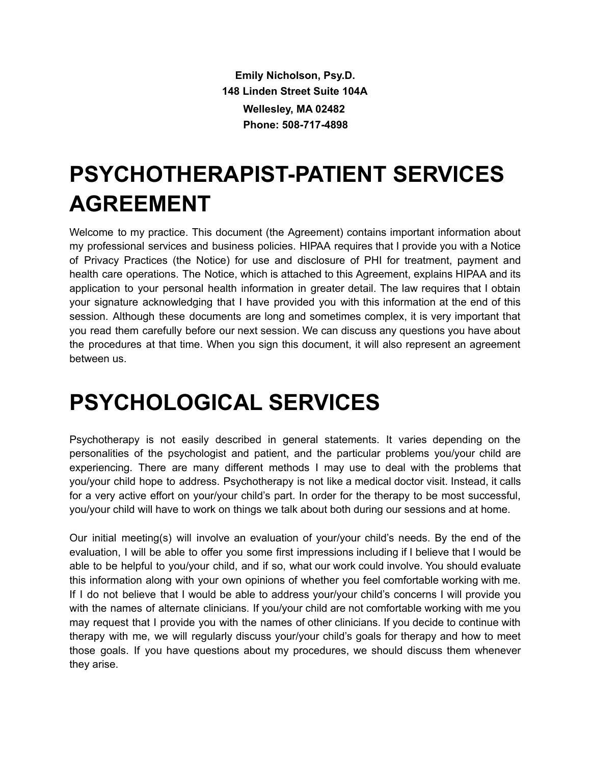**Emily Nicholson, Psy.D. 148 Linden Street Suite 104A Wellesley, MA 02482 Phone: 508-717-4898**

### **PSYCHOTHERAPIST-PATIENT SERVICES AGREEMENT**

Welcome to my practice. This document (the Agreement) contains important information about my professional services and business policies. HIPAA requires that I provide you with a Notice of Privacy Practices (the Notice) for use and disclosure of PHI for treatment, payment and health care operations. The Notice, which is attached to this Agreement, explains HIPAA and its application to your personal health information in greater detail. The law requires that I obtain your signature acknowledging that I have provided you with this information at the end of this session. Although these documents are long and sometimes complex, it is very important that you read them carefully before our next session. We can discuss any questions you have about the procedures at that time. When you sign this document, it will also represent an agreement between us.

#### **PSYCHOLOGICAL SERVICES**

Psychotherapy is not easily described in general statements. It varies depending on the personalities of the psychologist and patient, and the particular problems you/your child are experiencing. There are many different methods I may use to deal with the problems that you/your child hope to address. Psychotherapy is not like a medical doctor visit. Instead, it calls for a very active effort on your/your child's part. In order for the therapy to be most successful, you/your child will have to work on things we talk about both during our sessions and at home.

Our initial meeting(s) will involve an evaluation of your/your child's needs. By the end of the evaluation, I will be able to offer you some first impressions including if I believe that I would be able to be helpful to you/your child, and if so, what our work could involve. You should evaluate this information along with your own opinions of whether you feel comfortable working with me. If I do not believe that I would be able to address your/your child's concerns I will provide you with the names of alternate clinicians. If you/your child are not comfortable working with me you may request that I provide you with the names of other clinicians. If you decide to continue with therapy with me, we will regularly discuss your/your child's goals for therapy and how to meet those goals. If you have questions about my procedures, we should discuss them whenever they arise.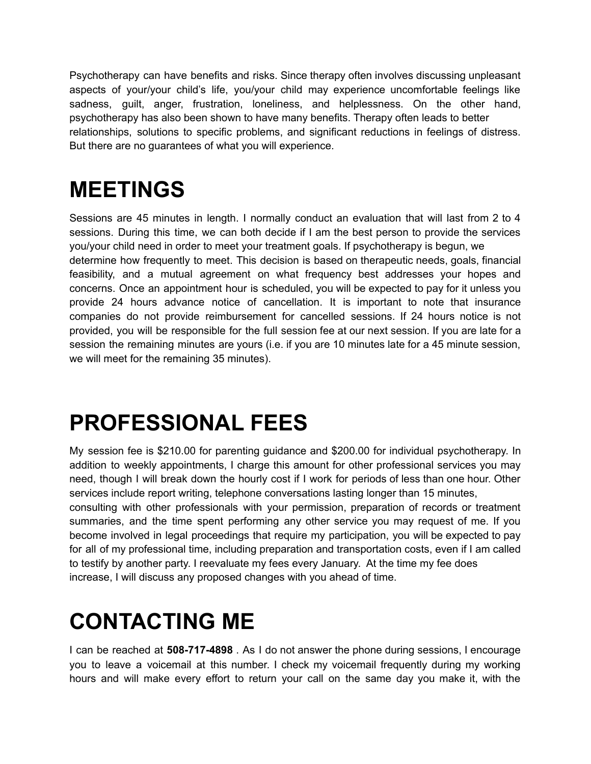Psychotherapy can have benefits and risks. Since therapy often involves discussing unpleasant aspects of your/your child's life, you/your child may experience uncomfortable feelings like sadness, guilt, anger, frustration, loneliness, and helplessness. On the other hand, psychotherapy has also been shown to have many benefits. Therapy often leads to better relationships, solutions to specific problems, and significant reductions in feelings of distress. But there are no guarantees of what you will experience.

### **MEETINGS**

Sessions are 45 minutes in length. I normally conduct an evaluation that will last from 2 to 4 sessions. During this time, we can both decide if I am the best person to provide the services you/your child need in order to meet your treatment goals. If psychotherapy is begun, we determine how frequently to meet. This decision is based on therapeutic needs, goals, financial feasibility, and a mutual agreement on what frequency best addresses your hopes and concerns. Once an appointment hour is scheduled, you will be expected to pay for it unless you provide 24 hours advance notice of cancellation. It is important to note that insurance companies do not provide reimbursement for cancelled sessions. If 24 hours notice is not provided, you will be responsible for the full session fee at our next session. If you are late for a session the remaining minutes are yours (i.e. if you are 10 minutes late for a 45 minute session, we will meet for the remaining 35 minutes).

## **PROFESSIONAL FEES**

My session fee is \$210.00 for parenting guidance and \$200.00 for individual psychotherapy. In addition to weekly appointments, I charge this amount for other professional services you may need, though I will break down the hourly cost if I work for periods of less than one hour. Other services include report writing, telephone conversations lasting longer than 15 minutes,

consulting with other professionals with your permission, preparation of records or treatment summaries, and the time spent performing any other service you may request of me. If you become involved in legal proceedings that require my participation, you will be expected to pay for all of my professional time, including preparation and transportation costs, even if I am called to testify by another party. I reevaluate my fees every January. At the time my fee does increase, I will discuss any proposed changes with you ahead of time.

#### **CONTACTING ME**

I can be reached at **508-717-4898** . As I do not answer the phone during sessions, I encourage you to leave a voicemail at this number. I check my voicemail frequently during my working hours and will make every effort to return your call on the same day you make it, with the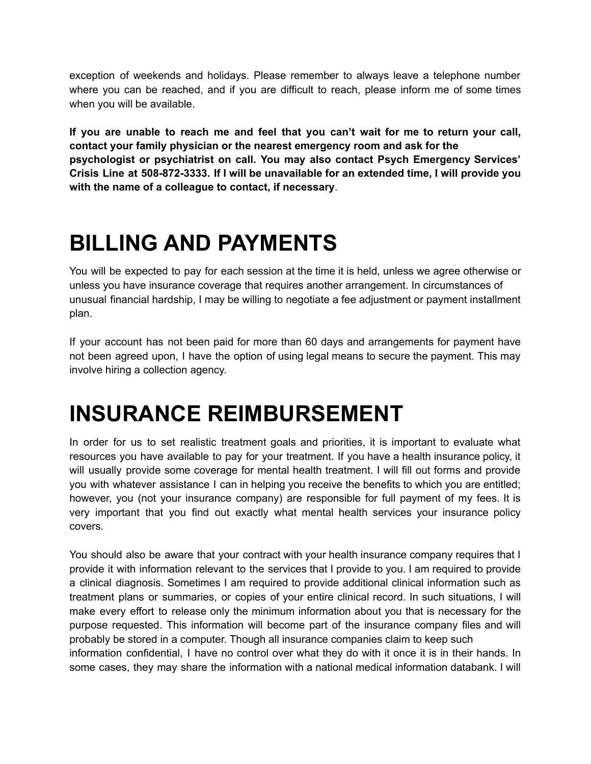exception of weekends and holidays. Please remember to always leave a telephone number where you can be reached, and if you are difficult to reach, please inform me of some times when you will be available.

**If you are unable to reach me and feel that you can't wait for me to return your call, contact your family physician or the nearest emergency room and ask for the psychologist or psychiatrist on call. You may also contact Psych Emergency Services' Crisis Line at 508-872-3333. If I will be unavailable for an extended time, I will provide you with the name of a colleague to contact, if necessary**.

#### **BILLING AND PAYMENTS**

You will be expected to pay for each session at the time it is held, unless we agree otherwise or unless you have insurance coverage that requires another arrangement. In circumstances of unusual financial hardship, I may be willing to negotiate a fee adjustment or payment installment plan.

If your account has not been paid for more than 60 days and arrangements for payment have not been agreed upon, I have the option of using legal means to secure the payment. This may involve hiring a collection agency.

## **INSURANCE REIMBURSEMENT**

In order for us to set realistic treatment goals and priorities, it is important to evaluate what resources you have available to pay for your treatment. If you have a health insurance policy, it will usually provide some coverage for mental health treatment. I will fill out forms and provide you with whatever assistance I can in helping you receive the benefits to which you are entitled; however, you (not your insurance company) are responsible for full payment of my fees. It is very important that you find out exactly what mental health services your insurance policy covers.

You should also be aware that your contract with your health insurance company requires that I provide it with information relevant to the services that I provide to you. I am required to provide a clinical diagnosis. Sometimes I am required to provide additional clinical information such as treatment plans or summaries, or copies of your entire clinical record. In such situations, I will make every effort to release only the minimum information about you that is necessary for the purpose requested. This information will become part of the insurance company files and will probably be stored in a computer. Though all insurance companies claim to keep such information confidential, I have no control over what they do with it once it is in their hands. In some cases, they may share the information with a national medical information databank. I will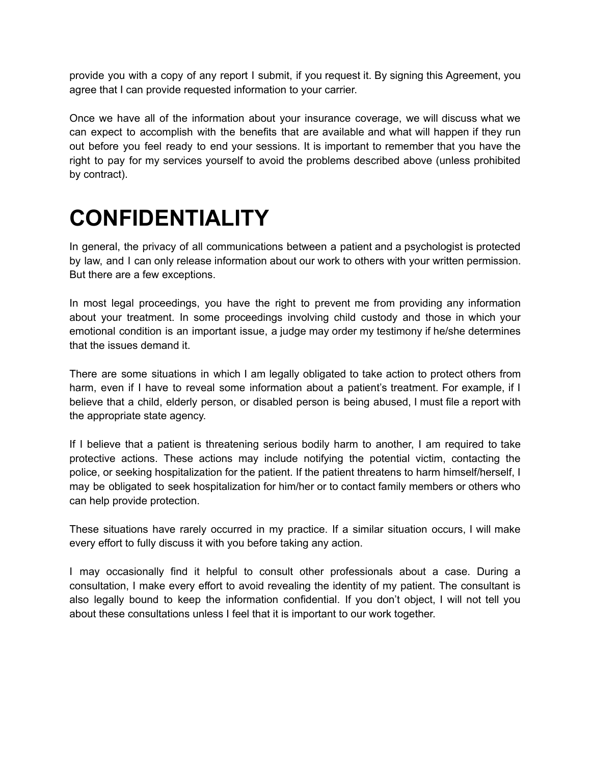provide you with a copy of any report I submit, if you request it. By signing this Agreement, you agree that I can provide requested information to your carrier.

Once we have all of the information about your insurance coverage, we will discuss what we can expect to accomplish with the benefits that are available and what will happen if they run out before you feel ready to end your sessions. It is important to remember that you have the right to pay for my services yourself to avoid the problems described above (unless prohibited by contract).

#### **CONFIDENTIALITY**

In general, the privacy of all communications between a patient and a psychologist is protected by law, and I can only release information about our work to others with your written permission. But there are a few exceptions.

In most legal proceedings, you have the right to prevent me from providing any information about your treatment. In some proceedings involving child custody and those in which your emotional condition is an important issue, a judge may order my testimony if he/she determines that the issues demand it.

There are some situations in which I am legally obligated to take action to protect others from harm, even if I have to reveal some information about a patient's treatment. For example, if I believe that a child, elderly person, or disabled person is being abused, I must file a report with the appropriate state agency.

If I believe that a patient is threatening serious bodily harm to another, I am required to take protective actions. These actions may include notifying the potential victim, contacting the police, or seeking hospitalization for the patient. If the patient threatens to harm himself/herself, I may be obligated to seek hospitalization for him/her or to contact family members or others who can help provide protection.

These situations have rarely occurred in my practice. If a similar situation occurs, I will make every effort to fully discuss it with you before taking any action.

I may occasionally find it helpful to consult other professionals about a case. During a consultation, I make every effort to avoid revealing the identity of my patient. The consultant is also legally bound to keep the information confidential. If you don't object, I will not tell you about these consultations unless I feel that it is important to our work together.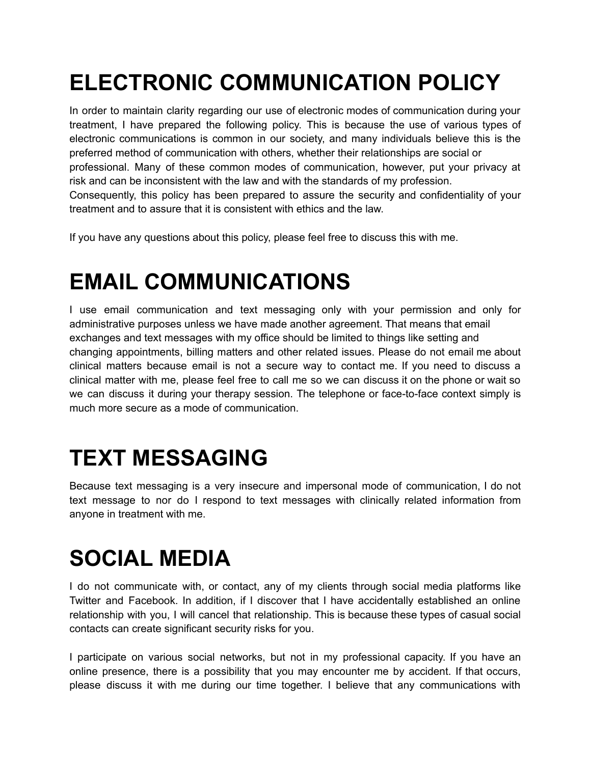# **ELECTRONIC COMMUNICATION POLICY**

In order to maintain clarity regarding our use of electronic modes of communication during your treatment, I have prepared the following policy. This is because the use of various types of electronic communications is common in our society, and many individuals believe this is the preferred method of communication with others, whether their relationships are social or professional. Many of these common modes of communication, however, put your privacy at

risk and can be inconsistent with the law and with the standards of my profession.

Consequently, this policy has been prepared to assure the security and confidentiality of your treatment and to assure that it is consistent with ethics and the law.

If you have any questions about this policy, please feel free to discuss this with me.

#### **EMAIL COMMUNICATIONS**

I use email communication and text messaging only with your permission and only for administrative purposes unless we have made another agreement. That means that email exchanges and text messages with my office should be limited to things like setting and changing appointments, billing matters and other related issues. Please do not email me about clinical matters because email is not a secure way to contact me. If you need to discuss a clinical matter with me, please feel free to call me so we can discuss it on the phone or wait so we can discuss it during your therapy session. The telephone or face-to-face context simply is much more secure as a mode of communication.

#### **TEXT MESSAGING**

Because text messaging is a very insecure and impersonal mode of communication, I do not text message to nor do I respond to text messages with clinically related information from anyone in treatment with me.

#### **SOCIAL MEDIA**

I do not communicate with, or contact, any of my clients through social media platforms like Twitter and Facebook. In addition, if I discover that I have accidentally established an online relationship with you, I will cancel that relationship. This is because these types of casual social contacts can create significant security risks for you.

I participate on various social networks, but not in my professional capacity. If you have an online presence, there is a possibility that you may encounter me by accident. If that occurs, please discuss it with me during our time together. I believe that any communications with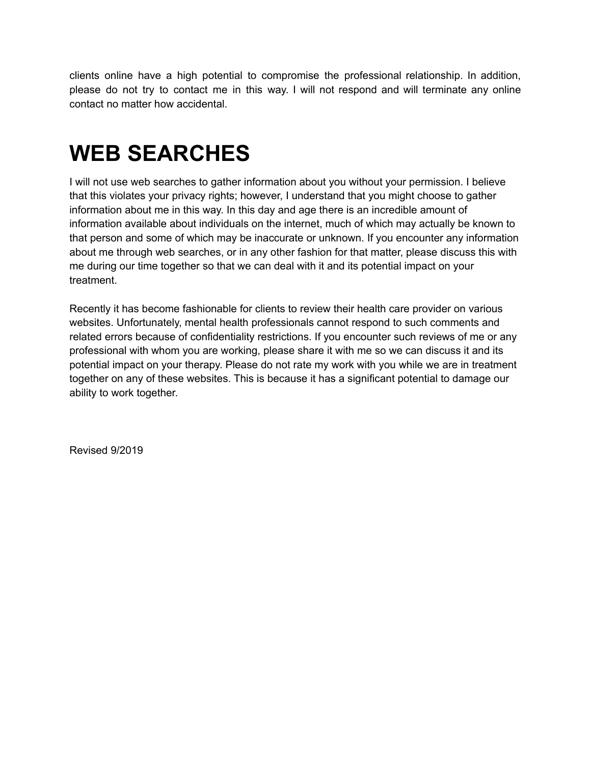clients online have a high potential to compromise the professional relationship. In addition, please do not try to contact me in this way. I will not respond and will terminate any online contact no matter how accidental.

#### **WEB SEARCHES**

I will not use web searches to gather information about you without your permission. I believe that this violates your privacy rights; however, I understand that you might choose to gather information about me in this way. In this day and age there is an incredible amount of information available about individuals on the internet, much of which may actually be known to that person and some of which may be inaccurate or unknown. If you encounter any information about me through web searches, or in any other fashion for that matter, please discuss this with me during our time together so that we can deal with it and its potential impact on your treatment.

Recently it has become fashionable for clients to review their health care provider on various websites. Unfortunately, mental health professionals cannot respond to such comments and related errors because of confidentiality restrictions. If you encounter such reviews of me or any professional with whom you are working, please share it with me so we can discuss it and its potential impact on your therapy. Please do not rate my work with you while we are in treatment together on any of these websites. This is because it has a significant potential to damage our ability to work together.

Revised 9/2019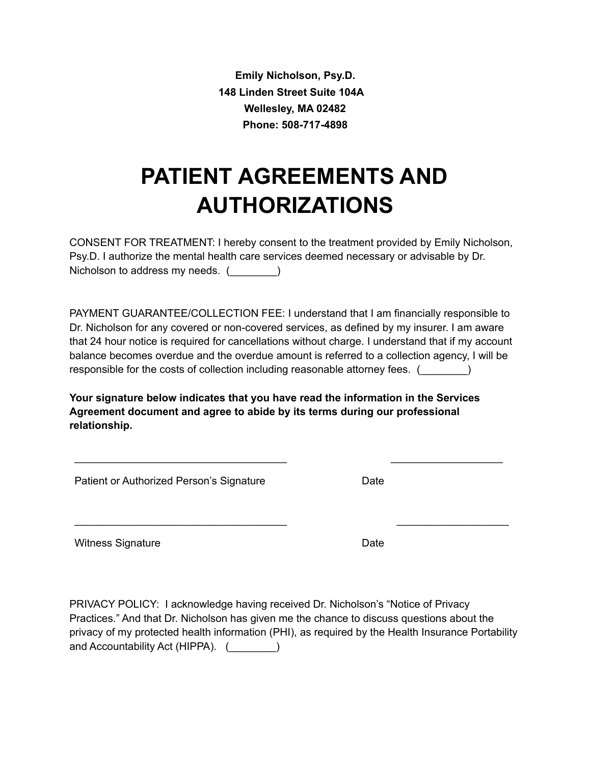**Emily Nicholson, Psy.D. 148 Linden Street Suite 104A Wellesley, MA 02482 Phone: 508-717-4898**

# **PATIENT AGREEMENTS AND AUTHORIZATIONS**

CONSENT FOR TREATMENT: I hereby consent to the treatment provided by Emily Nicholson, Psy.D. I authorize the mental health care services deemed necessary or advisable by Dr. Nicholson to address my needs. (\_\_\_\_\_\_\_)

PAYMENT GUARANTEE/COLLECTION FEE: I understand that I am financially responsible to Dr. Nicholson for any covered or non-covered services, as defined by my insurer. I am aware that 24 hour notice is required for cancellations without charge. I understand that if my account balance becomes overdue and the overdue amount is referred to a collection agency, I will be responsible for the costs of collection including reasonable attorney fees. (\_\_\_\_\_\_\_\_)

**Your signature below indicates that you have read the information in the Services Agreement document and agree to abide by its terms during our professional relationship.**

\_\_\_\_\_\_\_\_\_\_\_\_\_\_\_\_\_\_\_\_\_\_\_\_\_\_\_\_\_\_\_\_\_\_\_\_ \_\_\_\_\_\_\_\_\_\_\_\_\_\_\_\_\_\_\_

\_\_\_\_\_\_\_\_\_\_\_\_\_\_\_\_\_\_\_\_\_\_\_\_\_\_\_\_\_\_\_\_\_\_\_\_ \_\_\_\_\_\_\_\_\_\_\_\_\_\_\_\_\_\_\_

Patient or Authorized Person's Signature Date

Witness Signature Date **Date** 

PRIVACY POLICY: I acknowledge having received Dr. Nicholson's "Notice of Privacy Practices." And that Dr. Nicholson has given me the chance to discuss questions about the privacy of my protected health information (PHI), as required by the Health Insurance Portability and Accountability Act (HIPPA). (
)